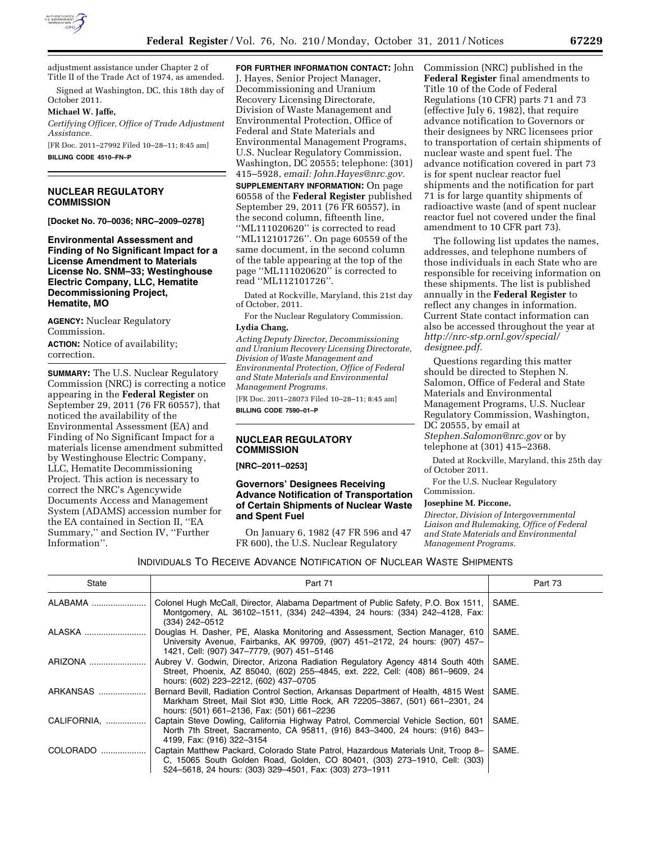

adjustment assistance under Chapter 2 of Title II of the Trade Act of 1974, as amended. Signed at Washington, DC, this 18th day of

October 2011.

#### **Michael W. Jaffe,**

*Certifying Officer, Office of Trade Adjustment Assistance.*  [FR Doc. 2011–27992 Filed 10–28–11; 8:45 am]

**BILLING CODE 4510–FN–P** 

## **NUCLEAR REGULATORY COMMISSION**

**[Docket No. 70–0036; NRC–2009–0278]** 

**Environmental Assessment and Finding of No Significant Impact for a License Amendment to Materials License No. SNM–33; Westinghouse Electric Company, LLC, Hematite Decommissioning Project, Hematite, MO** 

**AGENCY:** Nuclear Regulatory Commission.

**ACTION:** Notice of availability; correction.

**SUMMARY:** The U.S. Nuclear Regulatory Commission (NRC) is correcting a notice appearing in the **Federal Register** on September 29, 2011 (76 FR 60557), that noticed the availability of the Environmental Assessment (EA) and Finding of No Significant Impact for a materials license amendment submitted by Westinghouse Electric Company, LLC, Hematite Decommissioning Project. This action is necessary to correct the NRC's Agencywide Documents Access and Management System (ADAMS) accession number for the EA contained in Section II, ''EA Summary,'' and Section IV, ''Further Information''.

**FOR FURTHER INFORMATION CONTACT:** John J. Hayes, Senior Project Manager, Decommissioning and Uranium Recovery Licensing Directorate, Division of Waste Management and Environmental Protection, Office of Federal and State Materials and Environmental Management Programs, U.S. Nuclear Regulatory Commission, Washington, DC 20555; telephone: (301) 415–5928, *email: [John.Hayes@nrc.gov.](mailto:John.Hayes@nrc.gov)* 

**SUPPLEMENTARY INFORMATION:** On page 60558 of the **Federal Register** published September 29, 2011 (76 FR 60557), in the second column, fifteenth line, ''ML111020620'' is corrected to read ''ML112101726''. On page 60559 of the same document, in the second column of the table appearing at the top of the page ''ML111020620'' is corrected to read ''ML112101726''.

Dated at Rockville, Maryland, this 21st day of October, 2011.

For the Nuclear Regulatory Commission.

**Lydia Chang,** 

*Acting Deputy Director, Decommissioning and Uranium Recovery Licensing Directorate, Division of Waste Management and Environmental Protection, Office of Federal and State Materials and Environmental Management Programs.* 

[FR Doc. 2011–28073 Filed 10–28–11; 8:45 am] **BILLING CODE 7590–01–P** 

## **NUCLEAR REGULATORY COMMISSION**

**[NRC–2011–0253]** 

### **Governors' Designees Receiving Advance Notification of Transportation of Certain Shipments of Nuclear Waste and Spent Fuel**

On January 6, 1982 (47 FR 596 and 47 FR 600), the U.S. Nuclear Regulatory

Commission (NRC) published in the **Federal Register** final amendments to Title 10 of the Code of Federal Regulations (10 CFR) parts 71 and 73 (effective July 6, 1982), that require advance notification to Governors or their designees by NRC licensees prior to transportation of certain shipments of nuclear waste and spent fuel. The advance notification covered in part 73 is for spent nuclear reactor fuel shipments and the notification for part 71 is for large quantity shipments of radioactive waste (and of spent nuclear reactor fuel not covered under the final amendment to 10 CFR part 73).

The following list updates the names, addresses, and telephone numbers of those individuals in each State who are responsible for receiving information on these shipments. The list is published annually in the **Federal Register** to reflect any changes in information. Current State contact information can also be accessed throughout the year at *[http://nrc-stp.ornl.gov/special/](http://nrc-stp.ornl.gov/special/designee.pdf)  [designee.pdf.](http://nrc-stp.ornl.gov/special/designee.pdf)* 

Questions regarding this matter should be directed to Stephen N. Salomon, Office of Federal and State Materials and Environmental Management Programs, U.S. Nuclear Regulatory Commission, Washington, DC 20555, by email at *[Stephen.Salomon@nrc.gov](mailto:Stephen.Salomon@nrc.gov)* or by telephone at (301) 415–2368.

Dated at Rockville, Maryland, this 25th day of October 2011.

For the U.S. Nuclear Regulatory Commission.

#### **Josephine M. Piccone,**

*Director, Division of Intergovernmental Liaison and Rulemaking, Office of Federal and State Materials and Environmental Management Programs.* 

INDIVIDUALS TO RECEIVE ADVANCE NOTIFICATION OF NUCLEAR WASTE SHIPMENTS

| State       | Part 71                                                                                                                                                                                                                    | Part 73 |
|-------------|----------------------------------------------------------------------------------------------------------------------------------------------------------------------------------------------------------------------------|---------|
| ALABAMA     | Colonel Hugh McCall, Director, Alabama Department of Public Safety, P.O. Box 1511,<br>Montgomery, AL 36102-1511, (334) 242-4394, 24 hours: (334) 242-4128, Fax:<br>$(334)$ 242-0512                                        | SAME.   |
| ALASKA      | Douglas H. Dasher, PE, Alaska Monitoring and Assessment, Section Manager, 610<br>University Avenue, Fairbanks, AK 99709, (907) 451-2172, 24 hours: (907) 457-<br>1421, Cell: (907) 347-7779, (907) 451-5146                | SAME.   |
| ARIZONA     | Aubrey V. Godwin, Director, Arizona Radiation Regulatory Agency 4814 South 40th<br>Street, Phoenix, AZ 85040, (602) 255–4845, ext. 222, Cell: (408) 861–9609, 24<br>hours: (602) 223-2212, (602) 437-0705                  | SAME.   |
| ARKANSAS    | Bernard Bevill, Radiation Control Section, Arkansas Department of Health, 4815 West<br>Markham Street, Mail Slot #30, Little Rock, AR 72205-3867, (501) 661-2301, 24<br>hours: (501) 661-2136, Fax: (501) 661-2236         | SAME.   |
| CALIFORNIA. | Captain Steve Dowling, California Highway Patrol, Commercial Vehicle Section, 601<br>North 7th Street, Sacramento, CA 95811, (916) 843-3400, 24 hours: (916) 843-<br>4199, Fax: (916) 322-3154                             | SAME.   |
| COLORADO    | Captain Matthew Packard, Colorado State Patrol, Hazardous Materials Unit, Troop 8-<br>C, 15065 South Golden Road, Golden, CO 80401, (303) 273-1910, Cell: (303)<br>524-5618, 24 hours: (303) 329-4501, Fax: (303) 273-1911 | SAME.   |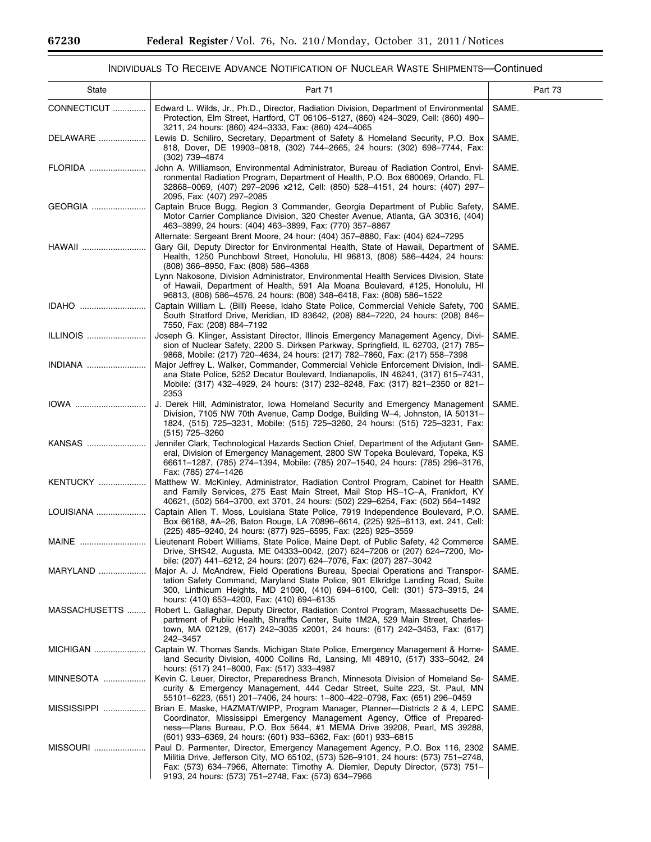Ξ

Ξ

# INDIVIDUALS TO RECEIVE ADVANCE NOTIFICATION OF NUCLEAR WASTE SHIPMENTS—Continued

| State             | Part 71                                                                                                                                                                                                                                                                                                      | Part 73 |
|-------------------|--------------------------------------------------------------------------------------------------------------------------------------------------------------------------------------------------------------------------------------------------------------------------------------------------------------|---------|
| CONNECTICUT       | Edward L. Wilds, Jr., Ph.D., Director, Radiation Division, Department of Environmental<br>Protection, Elm Street, Hartford, CT 06106-5127, (860) 424-3029, Cell: (860) 490-<br>3211, 24 hours: (860) 424-3333, Fax: (860) 424-4065                                                                           | SAME.   |
| DELAWARE          | Lewis D. Schiliro, Secretary, Department of Safety & Homeland Security, P.O. Box<br>818, Dover, DE 19903-0818, (302) 744-2665, 24 hours: (302) 698-7744, Fax:<br>(302) 739-4874                                                                                                                              | SAME.   |
| FLORIDA           | John A. Williamson, Environmental Administrator, Bureau of Radiation Control, Envi-<br>ronmental Radiation Program, Department of Health, P.O. Box 680069, Orlando, FL<br>32868-0069, (407) 297-2096 x212, Cell: (850) 528-4151, 24 hours: (407) 297-<br>2095, Fax: (407) 297-2085                           | SAME.   |
| GEORGIA           | Captain Bruce Bugg, Region 3 Commander, Georgia Department of Public Safety,<br>Motor Carrier Compliance Division, 320 Chester Avenue, Atlanta, GA 30316, (404)<br>463-3899, 24 hours: (404) 463-3899, Fax: (770) 357-8867                                                                                   | SAME.   |
| HAWAII            | Alternate: Sergeant Brent Moore, 24 hour: (404) 357–8880, Fax: (404) 624–7295<br>Gary Gil, Deputy Director for Environmental Health, State of Hawaii, Department of<br>Health, 1250 Punchbowl Street, Honolulu, HI 96813, (808) 586-4424, 24 hours:<br>(808) 366-8950, Fax: (808) 586-4368                   | SAME.   |
|                   | Lynn Nakosone, Division Administrator, Environmental Health Services Division, State<br>of Hawaii, Department of Health, 591 Ala Moana Boulevard, #125, Honolulu, HI<br>96813, (808) 586-4576, 24 hours: (808) 348-6418, Fax: (808) 586-1522                                                                 |         |
| IDAHO             | Captain William L. (Bill) Reese, Idaho State Police, Commercial Vehicle Safety, 700<br>South Stratford Drive, Meridian, ID 83642, (208) 884-7220, 24 hours: (208) 846-<br>7550, Fax: (208) 884-7192                                                                                                          | SAME.   |
| ILLINOIS          | Joseph G. Klinger, Assistant Director, Illinois Emergency Management Agency, Divi-<br>sion of Nuclear Safety, 2200 S. Dirksen Parkway, Springfield, IL 62703, (217) 785–<br>9868, Mobile: (217) 720-4634, 24 hours: (217) 782-7860, Fax: (217) 558-7398                                                      | SAME.   |
| INDIANA           | Major Jeffrey L. Walker, Commander, Commercial Vehicle Enforcement Division, Indi-<br>ana State Police, 5252 Decatur Boulevard, Indianapolis, IN 46241, (317) 615-7431,<br>Mobile: (317) 432-4929, 24 hours: (317) 232-8248, Fax: (317) 821-2350 or 821-<br>2353                                             | SAME.   |
| IOWA              | J. Derek Hill, Administrator, Iowa Homeland Security and Emergency Management<br>Division, 7105 NW 70th Avenue, Camp Dodge, Building W-4, Johnston, IA 50131-<br>1824, (515) 725-3231, Mobile: (515) 725-3260, 24 hours: (515) 725-3231, Fax:<br>$(515)$ 725-3260                                            | SAME.   |
| KANSAS            | Jennifer Clark, Technological Hazards Section Chief, Department of the Adjutant Gen-<br>eral, Division of Emergency Management, 2800 SW Topeka Boulevard, Topeka, KS<br>66611-1287, (785) 274-1394, Mobile: (785) 207-1540, 24 hours: (785) 296-3176,<br>Fax: (785) 274-1426                                 | SAME.   |
| KENTUCKY          | Matthew W. McKinley, Administrator, Radiation Control Program, Cabinet for Health<br>and Family Services, 275 East Main Street, Mail Stop HS-1C-A, Frankfort, KY<br>40621, (502) 564-3700, ext 3701, 24 hours: (502) 229-6254, Fax: (502) 564-1492                                                           | SAME.   |
| LOUISIANA         | Captain Allen T. Moss, Louisiana State Police, 7919 Independence Boulevard, P.O.<br>Box 66168, #A-26, Baton Rouge, LA 70896-6614, (225) 925-6113, ext. 241, Cell:<br>(225) 485-9240, 24 hours: (877) 925-6595, Fax: (225) 925-3559                                                                           | SAME.   |
| MAINE             | Lieutenant Robert Williams, State Police, Maine Dept. of Public Safety, 42 Commerce<br>Drive, SHS42, Augusta, ME 04333-0042, (207) 624-7206 or (207) 624-7200, Mo-<br>bile: (207) 441-6212, 24 hours: (207) 624-7076, Fax: (207) 287-3042                                                                    | SAME.   |
| MARYLAND          | Major A. J. McAndrew, Field Operations Bureau, Special Operations and Transpor-<br>tation Safety Command, Maryland State Police, 901 Elkridge Landing Road, Suite<br>300, Linthicum Heights, MD 21090, (410) 694-6100, Cell: (301) 573-3915, 24<br>hours: (410) 653-4200, Fax: (410) 694-6135                | SAME.   |
| MASSACHUSETTS     | Robert L. Gallaghar, Deputy Director, Radiation Control Program, Massachusetts De-<br>partment of Public Health, Shraffts Center, Suite 1M2A, 529 Main Street, Charles-<br>town, MA 02129, (617) 242-3035 x2001, 24 hours: (617) 242-3453, Fax: (617)<br>242-3457                                            | SAME.   |
| MICHIGAN          | Captain W. Thomas Sands, Michigan State Police, Emergency Management & Home-<br>land Security Division, 4000 Collins Rd, Lansing, MI 48910, (517) 333-5042, 24<br>hours: (517) 241-8000, Fax: (517) 333-4987                                                                                                 | SAME.   |
| <b>MINNESOTA </b> | Kevin C. Leuer, Director, Preparedness Branch, Minnesota Division of Homeland Se-<br>curity & Emergency Management, 444 Cedar Street, Suite 223, St. Paul, MN<br>55101-6223, (651) 201-7406, 24 hours: 1-800-422-0798, Fax: (651) 296-0459                                                                   | SAME.   |
| MISSISSIPPI       | Brian E. Maske, HAZMAT/WIPP, Program Manager, Planner---Districts 2 & 4, LEPC<br>Coordinator, Mississippi Emergency Management Agency, Office of Prepared-<br>ness-Plans Bureau, P.O. Box 5644, #1 MEMA Drive 39208, Pearl, MS 39288,<br>(601) 933-6369, 24 hours: (601) 933-6362, Fax: (601) 933-6815       | SAME.   |
| MISSOURI          | Paul D. Parmenter, Director, Emergency Management Agency, P.O. Box 116, 2302<br>Militia Drive, Jefferson City, MO 65102, (573) 526-9101, 24 hours: (573) 751-2748,<br>Fax: (573) 634–7966, Alternate: Timothy A. Diemler, Deputy Director, (573) 751–<br>9193, 24 hours: (573) 751-2748, Fax: (573) 634-7966 | SAME.   |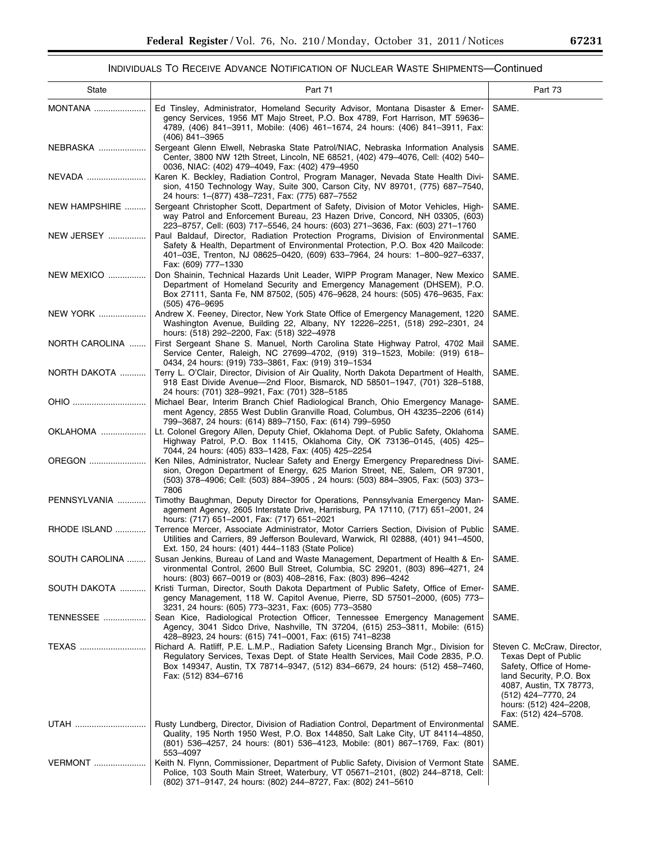-

# INDIVIDUALS TO RECEIVE ADVANCE NOTIFICATION OF NUCLEAR WASTE SHIPMENTS—Continued

| State              | Part 71                                                                                                                                                                                                                                                                         | Part 73                                                                                                                                                                                                      |
|--------------------|---------------------------------------------------------------------------------------------------------------------------------------------------------------------------------------------------------------------------------------------------------------------------------|--------------------------------------------------------------------------------------------------------------------------------------------------------------------------------------------------------------|
| <b>MONTANA</b>     | Ed Tinsley, Administrator, Homeland Security Advisor, Montana Disaster & Emer-<br>gency Services, 1956 MT Majo Street, P.O. Box 4789, Fort Harrison, MT 59636-<br>4789, (406) 841-3911, Mobile: (406) 461-1674, 24 hours: (406) 841-3911, Fax:<br>(406) 841-3965                | SAME.                                                                                                                                                                                                        |
| NEBRASKA           | Sergeant Glenn Elwell, Nebraska State Patrol/NIAC, Nebraska Information Analysis<br>Center, 3800 NW 12th Street, Lincoln, NE 68521, (402) 479-4076, Cell: (402) 540-<br>0036, NIAC: (402) 479-4049, Fax: (402) 479-4950                                                         | SAME.                                                                                                                                                                                                        |
| NEVADA             | Karen K. Beckley, Radiation Control, Program Manager, Nevada State Health Divi-<br>sion, 4150 Technology Way, Suite 300, Carson City, NV 89701, (775) 687–7540,<br>24 hours: 1-(877) 438-7231, Fax: (775) 687-7552                                                              | SAME.                                                                                                                                                                                                        |
| NEW HAMPSHIRE      | Sergeant Christopher Scott, Department of Safety, Division of Motor Vehicles, High-<br>way Patrol and Enforcement Bureau, 23 Hazen Drive, Concord, NH 03305, (603)<br>223-8757, Cell: (603) 717-5546, 24 hours: (603) 271-3636, Fax: (603) 271-1760                             | SAME.                                                                                                                                                                                                        |
| NEW JERSEY         | Paul Baldauf, Director, Radiation Protection Programs, Division of Environmental<br>Safety & Health, Department of Environmental Protection, P.O. Box 420 Mailcode:<br>401-03E, Trenton, NJ 08625-0420, (609) 633-7964, 24 hours: 1-800-927-6337,<br>Fax: (609) 777-1330        | SAME.                                                                                                                                                                                                        |
| <b>NEW MEXICO </b> | Don Shainin, Technical Hazards Unit Leader, WIPP Program Manager, New Mexico<br>Department of Homeland Security and Emergency Management (DHSEM), P.O.<br>Box 27111, Santa Fe, NM 87502, (505) 476-9628, 24 hours: (505) 476-9635, Fax:<br>$(505)$ 476-9695                     | SAME.                                                                                                                                                                                                        |
| <b>NEW YORK</b>    | Andrew X. Feeney, Director, New York State Office of Emergency Management, 1220<br>Washington Avenue, Building 22, Albany, NY 12226-2251, (518) 292-2301, 24<br>hours: (518) 292-2200, Fax: (518) 322-4978                                                                      | SAME.                                                                                                                                                                                                        |
| NORTH CAROLINA     | First Sergeant Shane S. Manuel, North Carolina State Highway Patrol, 4702 Mail<br>Service Center, Raleigh, NC 27699-4702, (919) 319-1523, Mobile: (919) 618-<br>0434, 24 hours: (919) 733-3861, Fax: (919) 319-1534                                                             | SAME.                                                                                                                                                                                                        |
| NORTH DAKOTA       | Terry L. O'Clair, Director, Division of Air Quality, North Dakota Department of Health,<br>918 East Divide Avenue-2nd Floor, Bismarck, ND 58501-1947, (701) 328-5188,<br>24 hours: (701) 328-9921, Fax: (701) 328-5185                                                          | SAME.                                                                                                                                                                                                        |
| OHIO               | Michael Bear, Interim Branch Chief Radiological Branch, Ohio Emergency Manage-<br>ment Agency, 2855 West Dublin Granville Road, Columbus, OH 43235-2206 (614)<br>799-3687, 24 hours: (614) 889-7150, Fax: (614) 799-5950                                                        | SAME.                                                                                                                                                                                                        |
| OKLAHOMA           | Lt. Colonel Gregory Allen, Deputy Chief, Oklahoma Dept. of Public Safety, Oklahoma<br>Highway Patrol, P.O. Box 11415, Oklahoma City, OK 73136-0145, (405) 425-<br>7044, 24 hours: (405) 833-1428, Fax: (405) 425-2254                                                           | SAME.                                                                                                                                                                                                        |
| OREGON             | Ken Niles, Administrator, Nuclear Safety and Energy Emergency Preparedness Divi-<br>sion, Oregon Department of Energy, 625 Marion Street, NE, Salem, OR 97301,<br>(503) 378-4906; Cell: (503) 884-3905, 24 hours: (503) 884-3905, Fax: (503) 373-<br>7806                       | SAME.                                                                                                                                                                                                        |
| PENNSYLVANIA       | Timothy Baughman, Deputy Director for Operations, Pennsylvania Emergency Man-<br>agement Agency, 2605 Interstate Drive, Harrisburg, PA 17110, (717) 651-2001, 24<br>hours: (717) 651-2001, Fax: (717) 651-2021                                                                  | SAME.                                                                                                                                                                                                        |
| RHODE ISLAND       | Terrence Mercer, Associate Administrator, Motor Carriers Section, Division of Public<br>Utilities and Carriers, 89 Jefferson Boulevard, Warwick, RI 02888, (401) 941-4500,<br>Ext. 150, 24 hours: (401) 444-1183 (State Police)                                                 | SAME.                                                                                                                                                                                                        |
| SOUTH CAROLINA     | Susan Jenkins, Bureau of Land and Waste Management, Department of Health & En-<br>vironmental Control, 2600 Bull Street, Columbia, SC 29201, (803) 896–4271, 24<br>hours: (803) 667-0019 or (803) 408-2816, Fax: (803) 896-4242                                                 | SAME.                                                                                                                                                                                                        |
| SOUTH DAKOTA       | Kristi Turman, Director, South Dakota Department of Public Safety, Office of Emer-<br>gency Management, 118 W. Capitol Avenue, Pierre, SD 57501-2000, (605) 773-<br>3231, 24 hours: (605) 773-3231, Fax: (605) 773-3580                                                         | SAME.                                                                                                                                                                                                        |
| <b>TENNESSEE</b>   | Sean Kice, Radiological Protection Officer, Tennessee Emergency Management<br>Agency, 3041 Sidco Drive, Nashville, TN 37204, (615) 253–3811, Mobile: (615)<br>428-8923, 24 hours: (615) 741-0001, Fax: (615) 741-8238                                                           | SAME.                                                                                                                                                                                                        |
| TEXAS              | Richard A. Ratliff, P.E. L.M.P., Radiation Safety Licensing Branch Mgr., Division for<br>Regulatory Services, Texas Dept. of State Health Services, Mail Code 2835, P.O.<br>Box 149347, Austin, TX 78714–9347, (512) 834–6679, 24 hours: (512) 458–7460,<br>Fax: (512) 834-6716 | Steven C. McCraw, Director,<br>Texas Dept of Public<br>Safety, Office of Home-<br>land Security, P.O. Box<br>4087, Austin, TX 78773,<br>(512) 424-7770, 24<br>hours: (512) 424–2208,<br>Fax: (512) 424–5708. |
| UTAH               | Rusty Lundberg, Director, Division of Radiation Control, Department of Environmental<br>Quality, 195 North 1950 West, P.O. Box 144850, Salt Lake City, UT 84114-4850,<br>(801) 536–4257, 24 hours: (801) 536–4123, Mobile: (801) 867–1769, Fax: (801)<br>553-4097               | SAME.                                                                                                                                                                                                        |
| <b>VERMONT</b>     | Keith N. Flynn, Commissioner, Department of Public Safety, Division of Vermont State<br>Police, 103 South Main Street, Waterbury, VT 05671-2101, (802) 244-8718, Cell:<br>(802) 371-9147, 24 hours: (802) 244-8727, Fax: (802) 241-5610                                         | SAME.                                                                                                                                                                                                        |